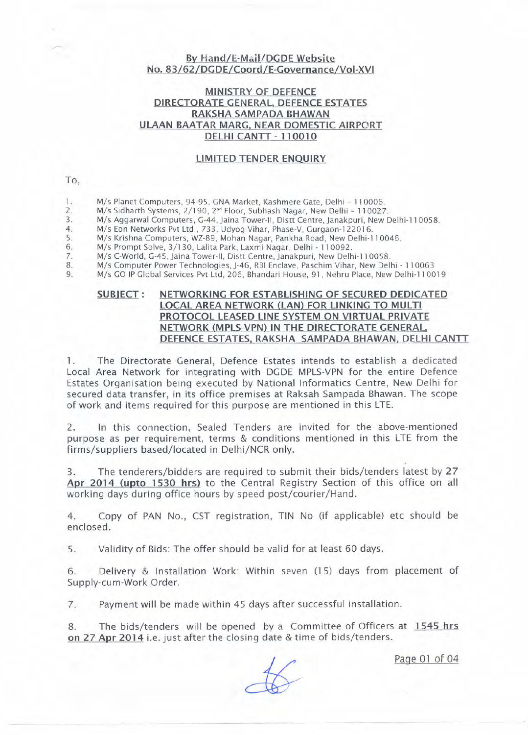## By Hand/E-Mail/DGDE Website No. 83/62/DGDE/Coord/E-Governance/Vol-XVI

## MINISTRY OF DEFENCE DIRECTORATE GENERAL, DEFENCE ESTATES RAKSHA SAMPADA BHAWAN ULAAN BAATAR MARG. NEAR DOMESTIC AIRPORT DELHI CANTT - 110010

## LIMITED TENDER ENQUIRY

### To,

- *1. Mis* Planet Computers, 94-95, GNA Market, Kashmere Gate, Delhi 110006.
- *2. Mis* Sidharth Systems, *2/190,* 2"d Floor, Subhash Nagar, New Delhi 110027.
- *3. Mis* Aggarwal Computers, G-44, jaina Tower-II, Distt Centre, janakpuri, New Delhi-11 0058.
- *4. Mis* Eon Networks Pvt Ltd., 733, Udyog Vihar, Phase-V, Gurgaon-122016.
- *5. Mis* Krishna Computers, WZ-89, Mohan Nagar, Pankha Road, New Delhi-11 0046.
- *6. Mis* Prompt Solve, *3/130,* Lalita Park, Laxmi Nagar, Delhi 110092.
- *M/s C-World, G-45, Jaina Tower-II, Distt Centre, Janakpuri, New Delhi-110058.*
- *8. Mis* Computer Power Technologies, j-46, RBI Enclave, Paschim Vihar, New Delhi 110063
- *9. Mis* GO IP Global Services Pvt Ltd, 206, Bhandari House, 91, Nehru Place, New Delhi-11 0019

## SUBIECT: NETWORKING FOR ESTABLISHING OF SECURED DEDICATED LOCAL AREA NETWORK (LAN) FOR LINKING TO MULTI PROTOCOL LEASED LINE SYSTEM ON VIRTUAL PRIVATE NETWORK (MPLS-VPN) IN THE DIRECTORATE GENERAL. DEFENCE ESTATES, RAKSHA SAMPADA BHAWAN, DELHI CANTT

1. The Directorate General, Defence Estates intends to establish a dedicated Local Area Network for integrating with DGDE MPLS-VPN for the entire Defence Estates Organisation being executed by National Informatics Centre, New Delhi for secured data transfer, in its office premises at Raksah Sampada Bhawan. The scope of work and items required for this purpose are mentioned in this LTE.

2. In this connection, Sealed Tenders are invited for the above-mentioned purpose as per requirement, terms & conditions mentioned in this LTE from the firms/suppliers based/located in Delhi/NCR only.

3. The tenderers/bidders are required to submit their bids/tenders latest by 27 Apr 2014 (upto 1530 hrs) to the Central Registry Section of this office on all working days during office hours by speed post/courier/Hand.

4. Copy of PAN No., CST registration, TIN No (if applicable) etc should be enclosed.

5. Validity of Bids: The offer should be valid for at least 60 days.

6. Delivery & Installation Work: Within seven (15) days from placement of Supply-cum-Work Order.

7. Payment will be made within 45 days after successful installation.

8. The bids/tenders will be opened by a Committee of Officers at 1545 hrs on 27 Apr 2014 i.e. just after the closing date & time of bids/tenders.

Page 01 of 04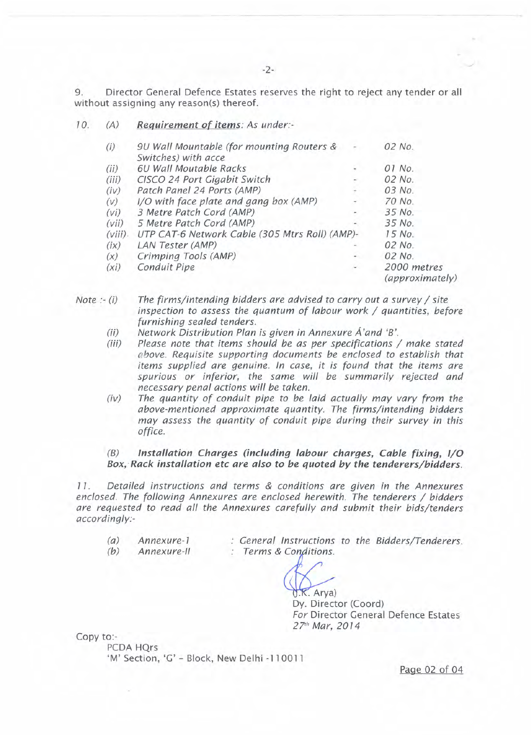9. Director General Defence Estates reserves the right to reject any tender or all without assigning any reason(s) thereof.

7 O. *(A) Requirement of items: As under:*

| (i)        | 9U Wall Mountable (for mounting Routers &      |  | 02 No.                         |
|------------|------------------------------------------------|--|--------------------------------|
|            | Switches) with acce                            |  |                                |
| (ii)       | 6U Wall Moutable Racks                         |  | 01 No.                         |
| (iii)      | CISCO 24 Port Gigabit Switch                   |  | 02 No.                         |
| (iv)       | Patch Panel 24 Ports (AMP)                     |  | 03 No.                         |
| (V)        | I/O with face plate and gang box (AMP)         |  | 70 No.                         |
| (vi)       | 3 Metre Patch Cord (AMP)                       |  | 35 No.                         |
| (vii)      | 5 Metre Patch Cord (AMP)                       |  | 35 No.                         |
| $(viii)$ . | UTP CAT-6 Network Cable (305 Mtrs Roll) (AMP)- |  | 15 No.                         |
| (ix)       | LAN Tester (AMP)                               |  | 02 No.                         |
| (x)        | Crimping Tools (AMP)                           |  | 02 No.                         |
| $(x_i)$    | Conduit Pipe                                   |  | 2000 metres<br>(approximately) |

*Note :- (i) The firms/intending bidders are advised to carry out a survey / site inspection to assess the quantum of labour work / quantities, before furnishing sealed tenders.*

- *(ii) Network Distribution Plan is given in Annexure A'and 'B'.*
- *(iii) Please note that items should be as per specifications / make stated above. Requisite supporting documents be enclosed to establish that items supplied are genuine. In case, it is found that the items are spurious or inferior, the same will be summarily rejected and necessary penal actions will be taken.*
- *(iv) The quantity of conduit pipe to be laid actually may vary from the above-mentioned approximate quantity. The firms/intending bidders may assess the quantity of conduit pipe during their survey in this office.*

## *(B) Installation Charges (including labour charges, Cable fixing, I/O Box; Rack installation etc are also to be quoted by the tenderers/bidders.*

7 7. *Detailed instructions and terms* & *conditions are given in the Annexures enclosed. The following Annexures are enclosed herewith. The tenderers / bidders are requested to read all the Annexures carefully and submit their bids/tenders accordinqlv=*

- *(a) Annexure-I*
- *(b) Annexure-li*

*General Instructions to the Bidders/Tenderers.* : Terms & Conditions.

 $(X, A, Y)$ 

Dy. Director (Coord) *For* Director General Defence Estates 27rh *Mar, 2074*

Copy to:-

PCDA HOrs 'M' Section, 'G' - Block, New Delhi -110011

Page 02 of 04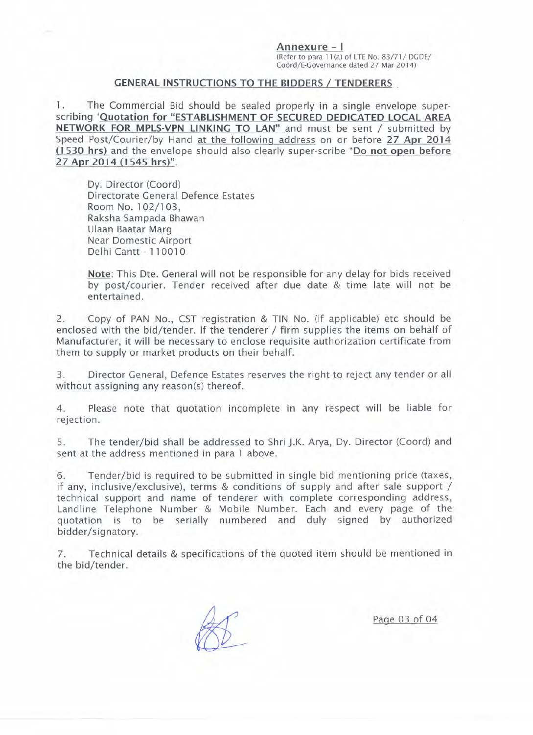Annexure - **I** (Refer to para 1 1(a) of LTE NO.8 *3/71 I* DG DEI Coord/E-Governance dated 27 Mar 2014)

## GENERAL INSTRUCTIONS TO THE BIDDERS / TENDERERS .

1. The Commercial Bid should be sealed properly in a single envelope superscribing 'Quotation for "ESTABLISHMENT OF SECURED DEDICATED LOCAL AREA NETWORK FOR MPLS-VPN LINKING TO LAN" and must be sent / submitted by Speed Post/Courier/by Hand at the following address on or before 27 Apr 2014 (1530 hrs) and the envelope should also clearly super-scribe "Do not open before 27 Apr 2014 (1545 hrs)".

Dy. Director (Coord) Directorate General Defence Estates Room No. 102/103. Raksha Sampada Bhawan Ulaan Baatar Marg Near Domestic Airport Delhi Cantt - 110010

Note: This Dte. General will not be responsible for any delay for bids received by post/courier. Tender received after due date & time late will not be entertained.

2. Copy of PAN No., CST registration & TIN No. (if applicable) etc should be enclosed with the bid/tender. If the tenderer / firm supplies the items on behalf of Manufacturer, it will be necessary to enclose requisite authorization certificate from them to supply or market products on their behalf.

3. Director General, Defence Estates reserves the right to reject any tender or all without assigning any reason(s) thereof.

4. Please note that quotation incomplete in any respect will be liable for rejection.

5. The tender/bid shall be addressed to Shri J.K. Arya, Dy. Director (Coord) and sent at the address mentioned in para 1 above.

6. Tender/bid is required to be submitted in single bid mentioning price (taxes, if any, inclusive/exclusive), terms & conditions of supply and after sale support / technical support and name of tenderer with complete corresponding address, Landline Telephone Number & Mobile Number. Each and every page of the quotation is to be serially numbered and duly signed by authorized bidder/signatory.

7. Technical details & specifications of the quoted item should be mentioned in the bid/tender.

Page 03 of 04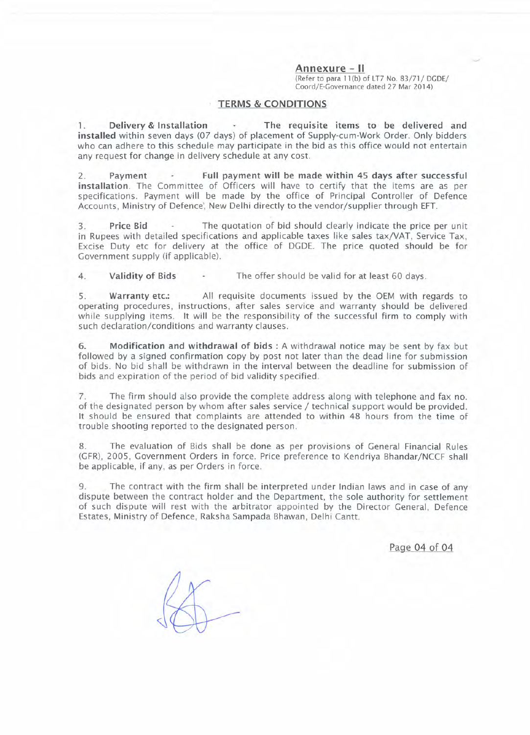**Annexure - II**

(Refer to para 11(b) of LT7 No. 83/71/ DGDE/ Coord/E-Governance dated 27 Mar 2014)

#### **TERMS & CONDITIONS**

1. **Delivery & Installation The requisite items to be delivered and installed** within seven days (07 days) of placement of Supply-cum-Work Order. Only bidders who can adhere to this schedule may participate in the bid as this office would not entertain any request for change in delivery schedule at any cost.

2. **Payment Full payment will be made within 45 days after successful installation.** The Committee of Officers will have to certify that the items are as per specifications. Payment will be made by the office of Principal Controller of Defence Accounts, Ministry of Defence', New Delhi directly to the vendor/supplier through EFT.

3. **Price Bid** The quotation of bid should clearly indicate the price per unit in Rupees with detailed specifications and applicable taxes like sales tax/VAT, Service Tax, Excise Duty etc for delivery at the office of DGDE. The price quoted should be for Government supply (if applicable).

4. **Validity of Bids** The offer should be valid for at least 60 days.

5. **Warrantyetc.:** All requisite documents issued by the OEM with regards to operating procedures, instructions, after sales service and warranty should be delivered while supplying items. It will be the responsibility of the successful firm to comply with such declaration/conditions and warranty clauses.

6. **Modification and withdrawal of bids:** A withdrawal notice may be sent by fax but followed by a signed confirmation copy by post not later than the dead line for submission of bids. No bid shall be withdrawn in the interval between the deadline for submission of bids and expiration of the period of bid validity specified.

7. The firm should also provide the complete address along with telephone and fax no. of the designated person by whom after sales service / technical support would be provided. It should be ensured that complaints are attended to within 48 hours from the time of trouble shooting reported to the designated person.

8. The evaluation of Bids shall be done as per provrsions of General Financial Rules (GFR), 2005, Government Orders in force. Price preference to Kendriya Bhandar/NCCF shall be applicable, if any, as per Orders in force.

9. The contract with the firm shall be interpreted under Indian laws and in case of any dispute between the contract holder and the Department, the sole authority for settlement of such dispute will rest with the arbitrator appointed by the Director General, Defence Estates, Ministry of Defence, Raksha Sampada Bhawan, Delhi Cantt.

Page 04 of 04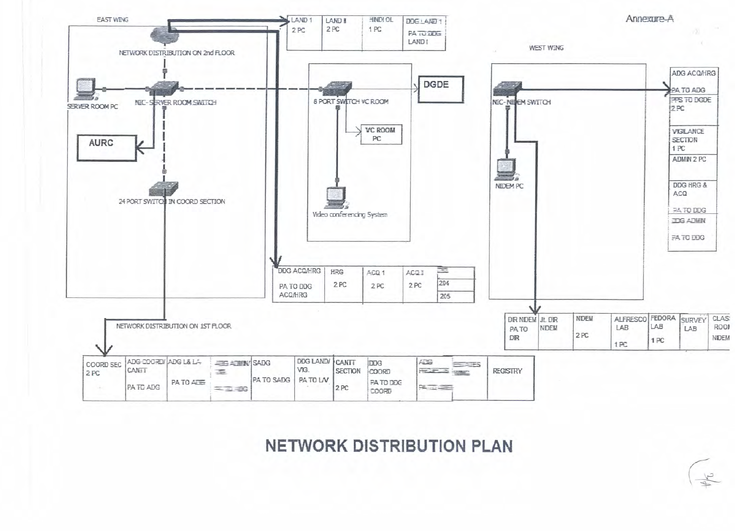

**NETWORK DISTRIBUTION PLAN**